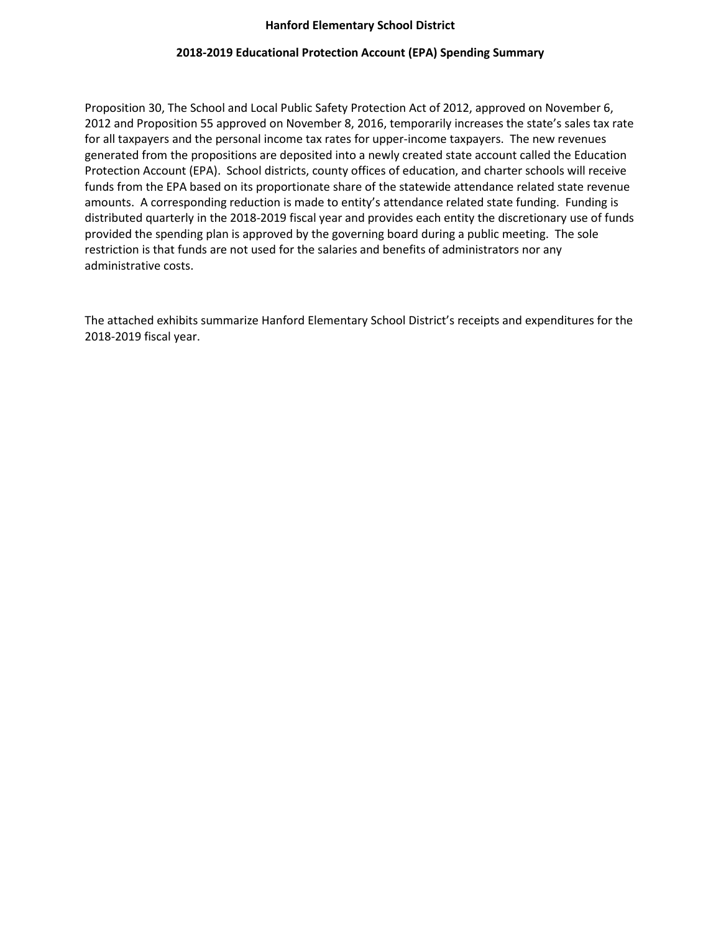#### **Hanford Elementary School District**

### **2018-2019 Educational Protection Account (EPA) Spending Summary**

Proposition 30, The School and Local Public Safety Protection Act of 2012, approved on November 6, 2012 and Proposition 55 approved on November 8, 2016, temporarily increases the state's sales tax rate for all taxpayers and the personal income tax rates for upper-income taxpayers. The new revenues generated from the propositions are deposited into a newly created state account called the Education Protection Account (EPA). School districts, county offices of education, and charter schools will receive funds from the EPA based on its proportionate share of the statewide attendance related state revenue amounts. A corresponding reduction is made to entity's attendance related state funding. Funding is distributed quarterly in the 2018-2019 fiscal year and provides each entity the discretionary use of funds provided the spending plan is approved by the governing board during a public meeting. The sole restriction is that funds are not used for the salaries and benefits of administrators nor any administrative costs.

The attached exhibits summarize Hanford Elementary School District's receipts and expenditures for the 2018-2019 fiscal year.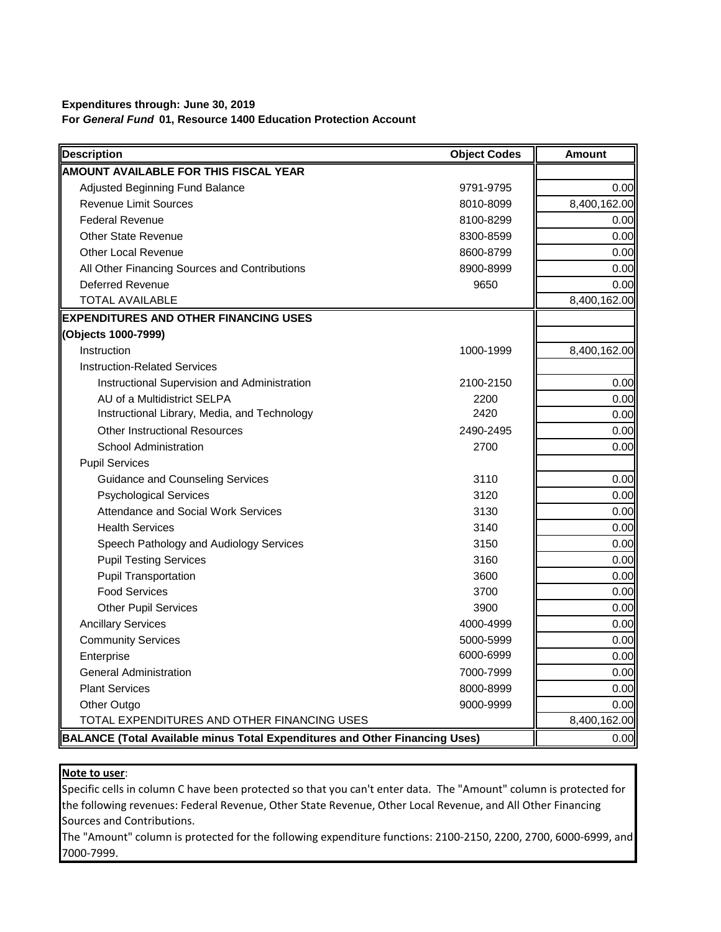## **Expenditures through: June 30, 2019 For** *General Fund* **01, Resource 1400 Education Protection Account**

| <b>Description</b>                                                          | <b>Object Codes</b> | <b>Amount</b> |
|-----------------------------------------------------------------------------|---------------------|---------------|
| <b>AMOUNT AVAILABLE FOR THIS FISCAL YEAR</b>                                |                     |               |
| Adjusted Beginning Fund Balance                                             | 9791-9795           | 0.00          |
| <b>Revenue Limit Sources</b>                                                | 8010-8099           | 8,400,162.00  |
| <b>Federal Revenue</b>                                                      | 8100-8299           | 0.00          |
| <b>Other State Revenue</b>                                                  | 8300-8599           | 0.00          |
| <b>Other Local Revenue</b>                                                  | 8600-8799           | 0.00          |
| All Other Financing Sources and Contributions                               | 8900-8999           | 0.00          |
| Deferred Revenue                                                            | 9650                | 0.00          |
| <b>TOTAL AVAILABLE</b>                                                      |                     | 8,400,162.00  |
| <b>EXPENDITURES AND OTHER FINANCING USES</b>                                |                     |               |
| (Objects 1000-7999)                                                         |                     |               |
| Instruction                                                                 | 1000-1999           | 8,400,162.00  |
| <b>Instruction-Related Services</b>                                         |                     |               |
| Instructional Supervision and Administration                                | 2100-2150           | 0.00          |
| AU of a Multidistrict SELPA                                                 | 2200                | 0.00          |
| Instructional Library, Media, and Technology                                | 2420                | 0.00          |
| <b>Other Instructional Resources</b>                                        | 2490-2495           | 0.00          |
| <b>School Administration</b>                                                | 2700                | 0.00          |
| <b>Pupil Services</b>                                                       |                     |               |
| <b>Guidance and Counseling Services</b>                                     | 3110                | 0.00          |
| <b>Psychological Services</b>                                               | 3120                | 0.00          |
| <b>Attendance and Social Work Services</b>                                  | 3130                | 0.00          |
| <b>Health Services</b>                                                      | 3140                | 0.00          |
| Speech Pathology and Audiology Services                                     | 3150                | 0.00          |
| <b>Pupil Testing Services</b>                                               | 3160                | 0.00          |
| <b>Pupil Transportation</b>                                                 | 3600                | 0.00          |
| <b>Food Services</b>                                                        | 3700                | 0.00          |
| <b>Other Pupil Services</b>                                                 | 3900                | 0.00          |
| <b>Ancillary Services</b>                                                   | 4000-4999           | 0.00          |
| <b>Community Services</b>                                                   | 5000-5999           | 0.00          |
| Enterprise                                                                  | 6000-6999           | 0.00          |
| <b>General Administration</b>                                               | 7000-7999           | 0.00          |
| <b>Plant Services</b>                                                       | 8000-8999           | 0.00          |
| Other Outgo                                                                 | 9000-9999           | 0.00          |
| TOTAL EXPENDITURES AND OTHER FINANCING USES                                 |                     | 8,400,162.00  |
| BALANCE (Total Available minus Total Expenditures and Other Financing Uses) |                     | 0.00          |

#### **Note to user**:

Specific cells in column C have been protected so that you can't enter data. The "Amount" column is protected for the following revenues: Federal Revenue, Other State Revenue, Other Local Revenue, and All Other Financing Sources and Contributions.

The "Amount" column is protected for the following expenditure functions: 2100-2150, 2200, 2700, 6000-6999, and 7000-7999.